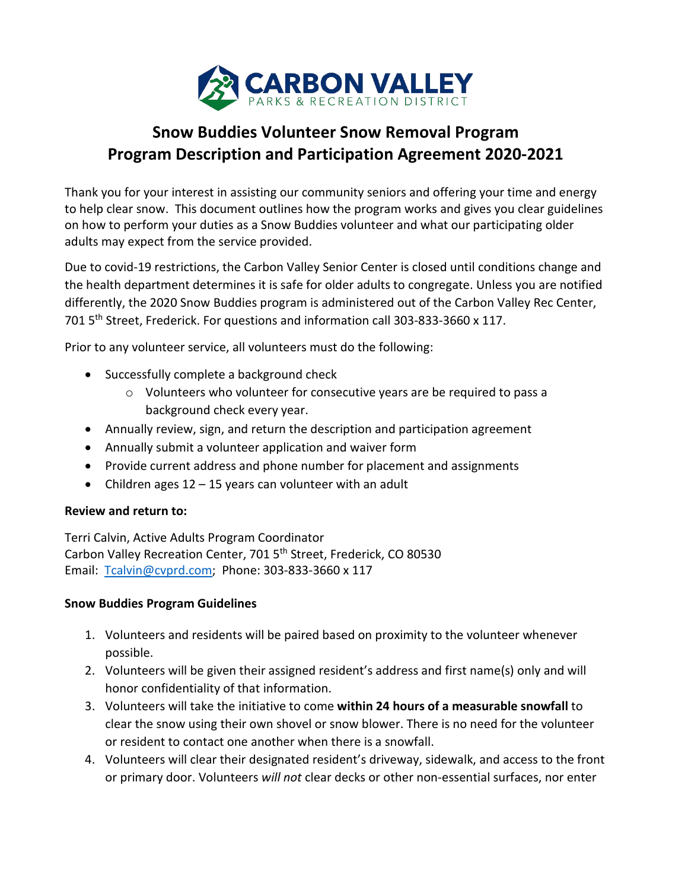

## **Snow Buddies Volunteer Snow Removal Program Program Description and Participation Agreement 2020-2021**

Thank you for your interest in assisting our community seniors and offering your time and energy to help clear snow. This document outlines how the program works and gives you clear guidelines on how to perform your duties as a Snow Buddies volunteer and what our participating older adults may expect from the service provided.

Due to covid-19 restrictions, the Carbon Valley Senior Center is closed until conditions change and the health department determines it is safe for older adults to congregate. Unless you are notified differently, the 2020 Snow Buddies program is administered out of the Carbon Valley Rec Center, 701 5th Street, Frederick. For questions and information call 303-833-3660 x 117.

Prior to any volunteer service, all volunteers must do the following:

- Successfully complete a background check
	- o Volunteers who volunteer for consecutive years are be required to pass a background check every year.
- Annually review, sign, and return the description and participation agreement
- Annually submit a volunteer application and waiver form
- Provide current address and phone number for placement and assignments
- Children ages  $12 15$  years can volunteer with an adult

## **Review and return to:**

Terri Calvin, Active Adults Program Coordinator Carbon Valley Recreation Center, 701 5<sup>th</sup> Street, Frederick, CO 80530 Email: [Tcalvin@cvprd.com;](mailto:Tcalvin@cvprd.com) Phone: 303-833-3660 x 117

## **Snow Buddies Program Guidelines**

- 1. Volunteers and residents will be paired based on proximity to the volunteer whenever possible.
- 2. Volunteers will be given their assigned resident's address and first name(s) only and will honor confidentiality of that information.
- 3. Volunteers will take the initiative to come **within 24 hours of a measurable snowfall** to clear the snow using their own shovel or snow blower. There is no need for the volunteer or resident to contact one another when there is a snowfall.
- 4. Volunteers will clear their designated resident's driveway, sidewalk, and access to the front or primary door. Volunteers *will not* clear decks or other non-essential surfaces, nor enter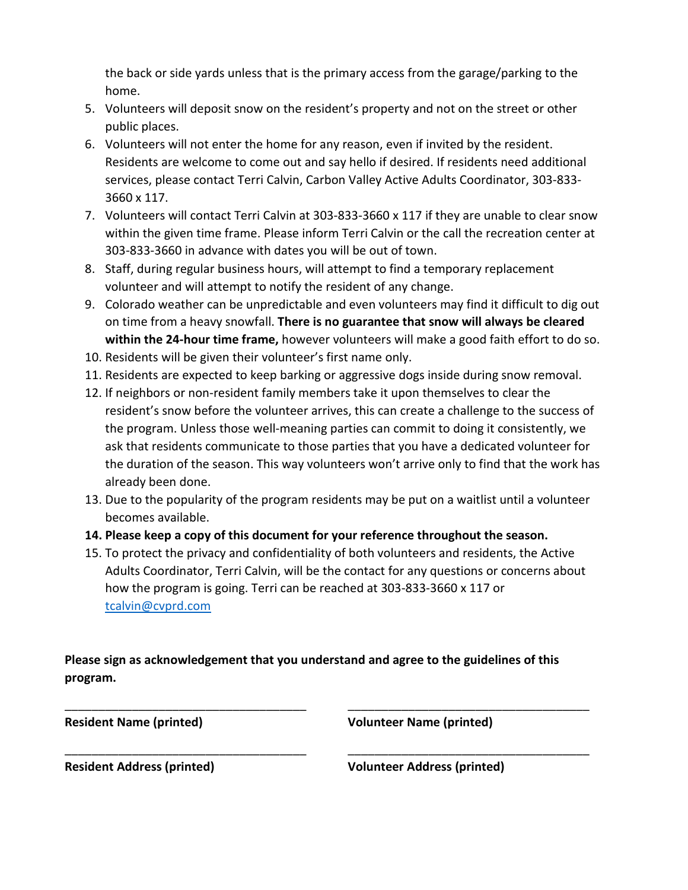the back or side yards unless that is the primary access from the garage/parking to the home.

- 5. Volunteers will deposit snow on the resident's property and not on the street or other public places.
- 6. Volunteers will not enter the home for any reason, even if invited by the resident. Residents are welcome to come out and say hello if desired. If residents need additional services, please contact Terri Calvin, Carbon Valley Active Adults Coordinator, 303-833- 3660 x 117.
- 7. Volunteers will contact Terri Calvin at 303-833-3660 x 117 if they are unable to clear snow within the given time frame. Please inform Terri Calvin or the call the recreation center at 303-833-3660 in advance with dates you will be out of town.
- 8. Staff, during regular business hours, will attempt to find a temporary replacement volunteer and will attempt to notify the resident of any change.
- 9. Colorado weather can be unpredictable and even volunteers may find it difficult to dig out on time from a heavy snowfall. **There is no guarantee that snow will always be cleared within the 24-hour time frame,** however volunteers will make a good faith effort to do so.
- 10. Residents will be given their volunteer's first name only.
- 11. Residents are expected to keep barking or aggressive dogs inside during snow removal.
- 12. If neighbors or non-resident family members take it upon themselves to clear the resident's snow before the volunteer arrives, this can create a challenge to the success of the program. Unless those well-meaning parties can commit to doing it consistently, we ask that residents communicate to those parties that you have a dedicated volunteer for the duration of the season. This way volunteers won't arrive only to find that the work has already been done.
- 13. Due to the popularity of the program residents may be put on a waitlist until a volunteer becomes available.
- **14. Please keep a copy of this document for your reference throughout the season.**
- 15. To protect the privacy and confidentiality of both volunteers and residents, the Active Adults Coordinator, Terri Calvin, will be the contact for any questions or concerns about how the program is going. Terri can be reached at 303-833-3660 x 117 or [tcalvin@cvprd.com](mailto:tcalvin@cvprd.com)

**Please sign as acknowledgement that you understand and agree to the guidelines of this program.**

\_\_\_\_\_\_\_\_\_\_\_\_\_\_\_\_\_\_\_\_\_\_\_\_\_\_\_\_\_\_\_\_\_\_\_\_ \_\_\_\_\_\_\_\_\_\_\_\_\_\_\_\_\_\_\_\_\_\_\_\_\_\_\_\_\_\_\_\_\_\_\_\_

\_\_\_\_\_\_\_\_\_\_\_\_\_\_\_\_\_\_\_\_\_\_\_\_\_\_\_\_\_\_\_\_\_\_\_\_ \_\_\_\_\_\_\_\_\_\_\_\_\_\_\_\_\_\_\_\_\_\_\_\_\_\_\_\_\_\_\_\_\_\_\_\_

**Resident Name (printed) Volunteer Name (printed)**

**Resident Address (printed) Volunteer Address (printed)**